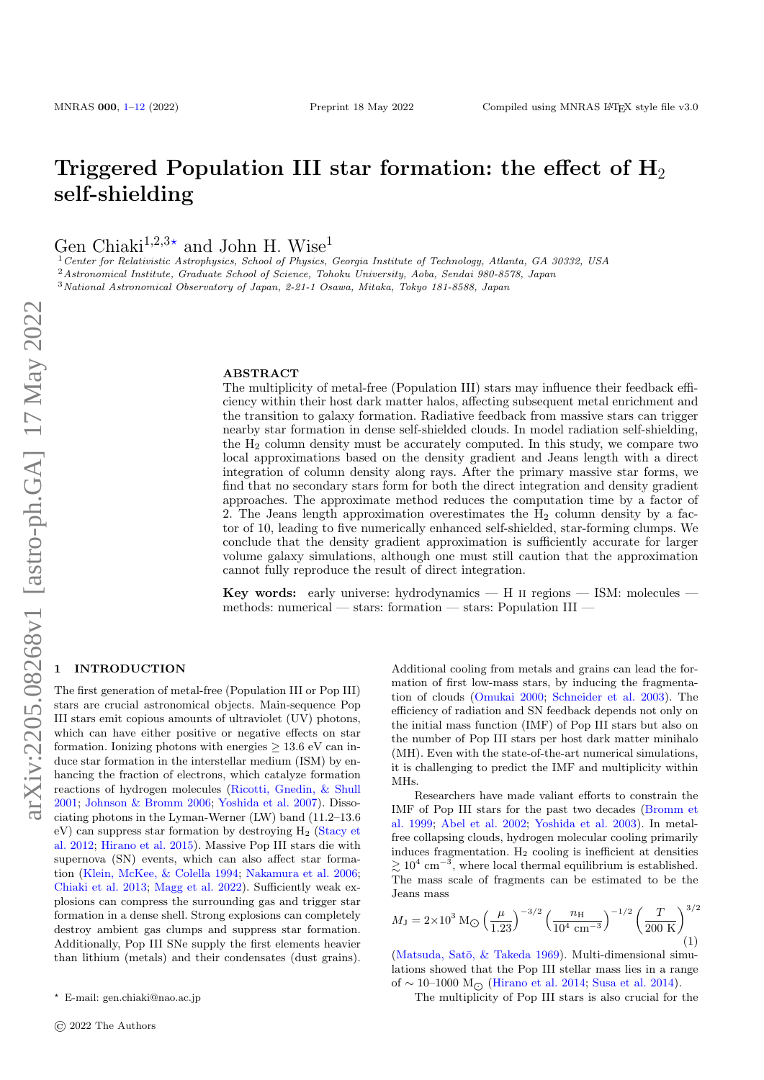# Triggered Population III star formation: the effect of  $H_2$ self-shielding

Gen Chiaki<sup>1,2,3\*</sup> and John H. Wise<sup>1</sup>

<sup>1</sup>Center for Relativistic Astrophysics, School of Physics, Georgia Institute of Technology, Atlanta, GA 30332, USA <sup>2</sup>Astronomical Institute, Graduate School of Science, Tohoku University, Aoba, Sendai 980-8578, Japan <sup>3</sup>National Astronomical Observatory of Japan, 2-21-1 Osawa, Mitaka, Tokyo 181-8588, Japan

#### ABSTRACT

The multiplicity of metal-free (Population III) stars may influence their feedback efficiency within their host dark matter halos, affecting subsequent metal enrichment and the transition to galaxy formation. Radiative feedback from massive stars can trigger nearby star formation in dense self-shielded clouds. In model radiation self-shielding, the  $H_2$  column density must be accurately computed. In this study, we compare two local approximations based on the density gradient and Jeans length with a direct integration of column density along rays. After the primary massive star forms, we find that no secondary stars form for both the direct integration and density gradient approaches. The approximate method reduces the computation time by a factor of 2. The Jeans length approximation overestimates the  $H_2$  column density by a factor of 10, leading to five numerically enhanced self-shielded, star-forming clumps. We conclude that the density gradient approximation is sufficiently accurate for larger volume galaxy simulations, although one must still caution that the approximation cannot fully reproduce the result of direct integration.

Key words: early universe: hydrodynamics — H ii regions — ISM: molecules methods: numerical — stars: formation — stars: Population III —

## <span id="page-0-0"></span>**INTRODUCTION**

The first generation of metal-free (Population III or Pop III) stars are crucial astronomical objects. Main-sequence Pop III stars emit copious amounts of ultraviolet (UV) photons, which can have either positive or negative effects on star formation. Ionizing photons with energies  $\geq 13.6$  eV can induce star formation in the interstellar medium (ISM) by enhancing the fraction of electrons, which catalyze formation reactions of hydrogen molecules [\(Ricotti, Gnedin, & Shull](#page-11-0) [2001;](#page-11-0) [Johnson & Bromm](#page-10-1) [2006;](#page-10-1) [Yoshida et al.](#page-11-1) [2007\)](#page-11-1). Dissociating photons in the Lyman-Werner (LW) band (11.2–13.6  $eV$ ) can suppress star formation by destroying  $H_2$  [\(Stacy et](#page-11-2) [al.](#page-11-2) [2012;](#page-11-2) [Hirano et al.](#page-10-2) [2015\)](#page-10-2). Massive Pop III stars die with supernova (SN) events, which can also affect star formation [\(Klein, McKee, & Colella](#page-11-3) [1994;](#page-11-3) [Nakamura et al.](#page-11-4) [2006;](#page-11-4) [Chiaki et al.](#page-10-3) [2013;](#page-10-3) [Magg et al.](#page-11-5) [2022\)](#page-11-5). Sufficiently weak explosions can compress the surrounding gas and trigger star formation in a dense shell. Strong explosions can completely destroy ambient gas clumps and suppress star formation. Additionally, Pop III SNe supply the first elements heavier than lithium (metals) and their condensates (dust grains).

Additional cooling from metals and grains can lead the formation of first low-mass stars, by inducing the fragmentation of clouds [\(Omukai](#page-11-6) [2000;](#page-11-6) [Schneider et al.](#page-11-7) [2003\)](#page-11-7). The efficiency of radiation and SN feedback depends not only on the initial mass function (IMF) of Pop III stars but also on the number of Pop III stars per host dark matter minihalo (MH). Even with the state-of-the-art numerical simulations, it is challenging to predict the IMF and multiplicity within MHs.

Researchers have made valiant efforts to constrain the IMF of Pop III stars for the past two decades [\(Bromm et](#page-10-4) [al.](#page-10-4) [1999;](#page-10-4) [Abel et al.](#page-10-5) [2002;](#page-10-5) [Yoshida et al.](#page-11-8) [2003\)](#page-11-8). In metalfree collapsing clouds, hydrogen molecular cooling primarily induces fragmentation.  $H_2$  cooling is inefficient at densities  $\gtrsim 10^4$  cm<sup>-3</sup>, where local thermal equilibrium is established. The mass scale of fragments can be estimated to be the Jeans mass

$$
M_{\rm J} = 2 \times 10^3 \,\mathrm{M_{\odot}} \left(\frac{\mu}{1.23}\right)^{-3/2} \left(\frac{n_{\rm H}}{10^4 \,\mathrm{cm}^{-3}}\right)^{-1/2} \left(\frac{T}{200 \,\mathrm{K}}\right)^{3/2} \tag{1}
$$

(Matsuda, Satō,  $&$  Takeda [1969\)](#page-11-9). Multi-dimensional simulations showed that the Pop III stellar mass lies in a range of ~ 10–1000 M<sub>○</sub> [\(Hirano et al.](#page-10-6) [2014;](#page-10-6) [Susa et al.](#page-11-10) [2014\)](#page-11-10).

The multiplicity of Pop III stars is also crucial for the

<sup>?</sup> E-mail: gen.chiaki@nao.ac.jp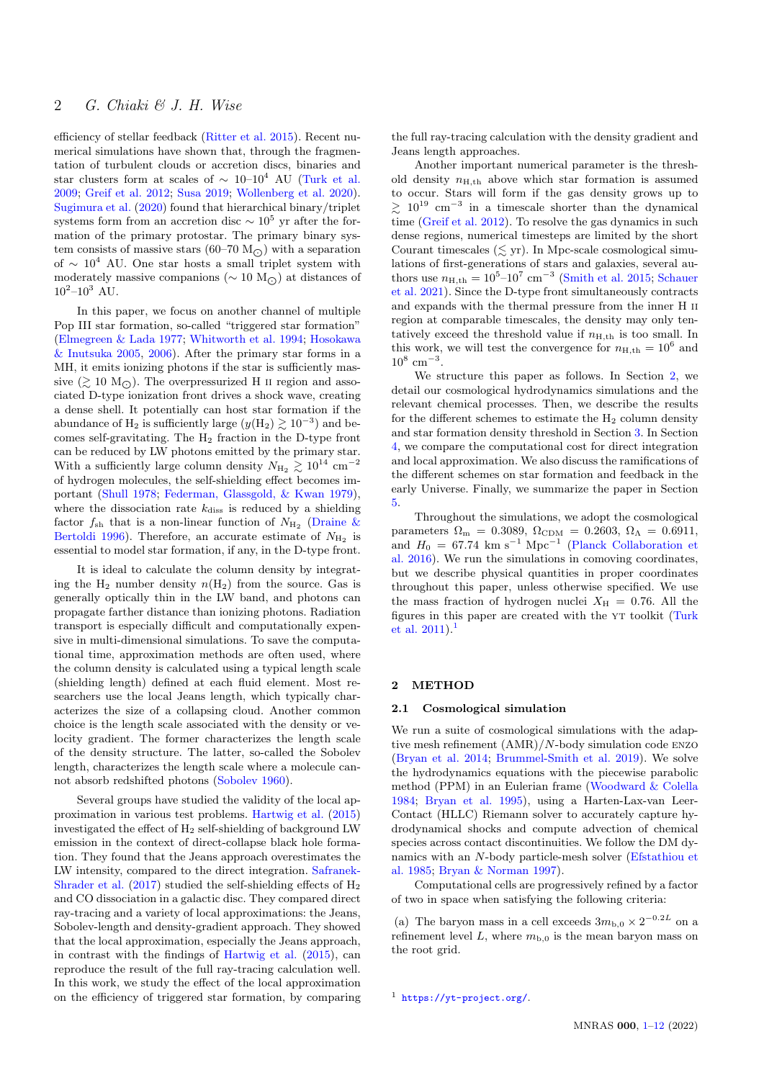efficiency of stellar feedback [\(Ritter et al.](#page-11-11) [2015\)](#page-11-11). Recent numerical simulations have shown that, through the fragmentation of turbulent clouds or accretion discs, binaries and star clusters form at scales of  $\sim 10-10^4$  AU [\(Turk et al.](#page-11-12) [2009;](#page-11-12) [Greif et al.](#page-10-7) [2012;](#page-10-7) [Susa](#page-11-13) [2019;](#page-11-13) [Wollenberg et al.](#page-11-14) [2020\)](#page-11-14). [Sugimura et al.](#page-11-15) [\(2020\)](#page-11-15) found that hierarchical binary/triplet systems form from an accretion disc  $\sim 10^5$  yr after the formation of the primary protostar. The primary binary system consists of massive stars (60–70  $M_{\odot}$ ) with a separation of  $\sim 10^4$  AU. One star hosts a small triplet system with moderately massive companions ( $\sim 10 \text{ M}_{\odot}$ ) at distances of  $10^2 - 10^3$  AU.

In this paper, we focus on another channel of multiple Pop III star formation, so-called "triggered star formation" [\(Elmegreen & Lada](#page-10-8) [1977;](#page-10-8) [Whitworth et al.](#page-11-16) [1994;](#page-11-16) [Hosokawa](#page-10-9) [& Inutsuka](#page-10-9) [2005,](#page-10-9) [2006\)](#page-10-10). After the primary star forms in a MH, it emits ionizing photons if the star is sufficiently massive  $(\gtrsim 10 \text{ M}_\odot)$ . The overpressurized H II region and associated D-type ionization front drives a shock wave, creating a dense shell. It potentially can host star formation if the abundance of H<sub>2</sub> is sufficiently large  $(y(H_2) \gtrsim 10^{-3})$  and becomes self-gravitating. The H<sup>2</sup> fraction in the D-type front can be reduced by LW photons emitted by the primary star. With a sufficiently large column density  $N_{\rm{H}_2} \gtrsim 10^{14}~\rm{cm^{-2}}$ of hydrogen molecules, the self-shielding effect becomes important [\(Shull](#page-11-17) [1978;](#page-11-17) [Federman, Glassgold, & Kwan](#page-10-11) [1979\)](#page-10-11), where the dissociation rate  $k_{\text{diss}}$  is reduced by a shielding factor  $f_{\rm sh}$  that is a non-linear function of  $N_{\rm H_2}$  [\(Draine &](#page-10-12) [Bertoldi](#page-10-12) [1996\)](#page-10-12). Therefore, an accurate estimate of  $N_{\rm H_2}$  is essential to model star formation, if any, in the D-type front.

It is ideal to calculate the column density by integrating the  $H_2$  number density  $n(H_2)$  from the source. Gas is generally optically thin in the LW band, and photons can propagate farther distance than ionizing photons. Radiation transport is especially difficult and computationally expensive in multi-dimensional simulations. To save the computational time, approximation methods are often used, where the column density is calculated using a typical length scale (shielding length) defined at each fluid element. Most researchers use the local Jeans length, which typically characterizes the size of a collapsing cloud. Another common choice is the length scale associated with the density or velocity gradient. The former characterizes the length scale of the density structure. The latter, so-called the Sobolev length, characterizes the length scale where a molecule cannot absorb redshifted photons [\(Sobolev](#page-11-18) [1960\)](#page-11-18).

Several groups have studied the validity of the local approximation in various test problems. [Hartwig et al.](#page-10-13) [\(2015\)](#page-10-13) investigated the effect of  $H_2$  self-shielding of background LW emission in the context of direct-collapse black hole formation. They found that the Jeans approach overestimates the LW intensity, compared to the direct integration. [Safranek-](#page-11-19)[Shrader et al.](#page-11-19)  $(2017)$  studied the self-shielding effects of  $H_2$ and CO dissociation in a galactic disc. They compared direct ray-tracing and a variety of local approximations: the Jeans, Sobolev-length and density-gradient approach. They showed that the local approximation, especially the Jeans approach, in contrast with the findings of [Hartwig et al.](#page-10-13) [\(2015\)](#page-10-13), can reproduce the result of the full ray-tracing calculation well. In this work, we study the effect of the local approximation on the efficiency of triggered star formation, by comparing the full ray-tracing calculation with the density gradient and Jeans length approaches.

Another important numerical parameter is the threshold density  $n_{\text{H,th}}$  above which star formation is assumed to occur. Stars will form if the gas density grows up to  $\geq 10^{19}$  cm<sup>-3</sup> in a timescale shorter than the dynamical time [\(Greif et al.](#page-10-7) [2012\)](#page-10-7). To resolve the gas dynamics in such dense regions, numerical timesteps are limited by the short Courant timescales  $(\leq$  yr). In Mpc-scale cosmological simulations of first-generations of stars and galaxies, several authors use  $n_{\text{H,th}} = 10^{5} - 10^{7}$  cm<sup>-3</sup> [\(Smith et al.](#page-11-20) [2015;](#page-11-20) [Schauer](#page-11-21) [et al.](#page-11-21) [2021\)](#page-11-21). Since the D-type front simultaneously contracts and expands with the thermal pressure from the inner H ii region at comparable timescales, the density may only tentatively exceed the threshold value if  $n_{\text{H,th}}$  is too small. In this work, we will test the convergence for  $n_{\text{H,th}} = 10^6$  and  $10^8$  cm<sup>-3</sup>.

We structure this paper as follows. In Section [2,](#page-1-0) we detail our cosmological hydrodynamics simulations and the relevant chemical processes. Then, we describe the results for the different schemes to estimate the  $H_2$  column density and star formation density threshold in Section [3.](#page-4-0) In Section [4,](#page-7-0) we compare the computational cost for direct integration and local approximation. We also discuss the ramifications of the different schemes on star formation and feedback in the early Universe. Finally, we summarize the paper in Section [5.](#page-10-0)

Throughout the simulations, we adopt the cosmological parameters  $\Omega_{\rm m} = 0.3089, \Omega_{\rm CDM} = 0.2603, \Omega_{\Lambda} = 0.6911,$ and  $H_0 = 67.74$  km s<sup>-1</sup> Mpc<sup>-1</sup> [\(Planck Collaboration et](#page-11-22) [al.](#page-11-22) [2016\)](#page-11-22). We run the simulations in comoving coordinates, but we describe physical quantities in proper coordinates throughout this paper, unless otherwise specified. We use the mass fraction of hydrogen nuclei  $X_{\text{H}} = 0.76$ . All the figures in this paper are created with the YT toolkit [\(Turk](#page-11-23) [et al.](#page-11-23)  $2011$  $2011$  $2011$ .<sup>1</sup>

## <span id="page-1-0"></span>2 METHOD

## 2.1 Cosmological simulation

We run a suite of cosmological simulations with the adaptive mesh refinement (AMR)/N-body simulation code enzo [\(Bryan et al.](#page-10-14) [2014;](#page-10-14) [Brummel-Smith et al.](#page-10-15) [2019\)](#page-10-15). We solve the hydrodynamics equations with the piecewise parabolic method (PPM) in an Eulerian frame [\(Woodward & Colella](#page-11-24) [1984;](#page-11-24) [Bryan et al.](#page-10-16) [1995\)](#page-10-16), using a Harten-Lax-van Leer-Contact (HLLC) Riemann solver to accurately capture hydrodynamical shocks and compute advection of chemical species across contact discontinuities. We follow the DM dynamics with an N-body particle-mesh solver [\(Efstathiou et](#page-10-17) [al.](#page-10-17) [1985;](#page-10-17) [Bryan & Norman](#page-10-18) [1997\)](#page-10-18).

Computational cells are progressively refined by a factor of two in space when satisfying the following criteria:

(a) The baryon mass in a cell exceeds  $3m_{b,0} \times 2^{-0.2L}$  on a refinement level L, where  $m_{b,0}$  is the mean baryon mass on the root grid.

<span id="page-1-1"></span><sup>1</sup> <https://yt-project.org/>.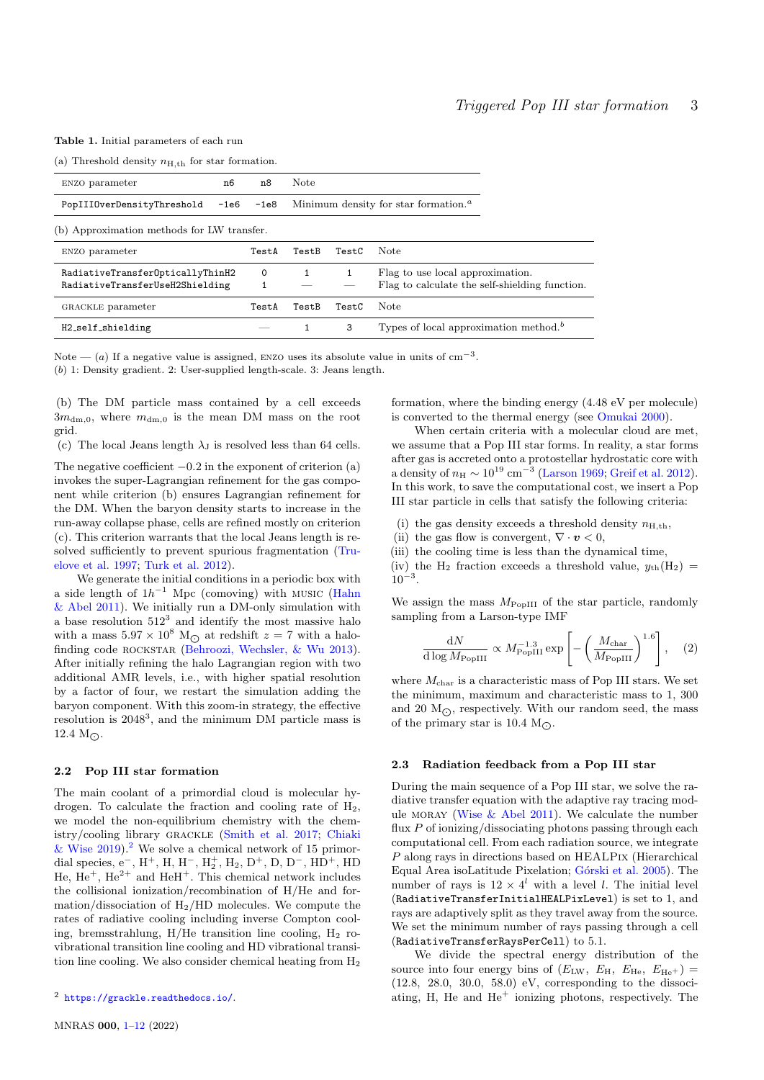<span id="page-2-1"></span>Table 1. Initial parameters of each run

(a) Threshold density  $n_{\text{H,th}}$  for star formation.

| ENZO parameter                                                      | n8<br>n6  | <b>Note</b> |       |                                                                                    |  |  |  |
|---------------------------------------------------------------------|-----------|-------------|-------|------------------------------------------------------------------------------------|--|--|--|
| PopIIIOverDensityThreshold                                          | -1e6 -1e8 |             |       | Minimum density for star formation. <sup><i>a</i></sup>                            |  |  |  |
| (b) Approximation methods for LW transfer.                          |           |             |       |                                                                                    |  |  |  |
| ENZO parameter                                                      | TestA     | TestB       | TestC | Note                                                                               |  |  |  |
| RadiativeTransfer0pticallyThinH2<br>RadiativeTransferUseH2Shielding | $\Omega$  |             |       | Flag to use local approximation.<br>Flag to calculate the self-shielding function. |  |  |  |
| GRACKLE parameter                                                   | TestA     | TestB       | TestC | Note                                                                               |  |  |  |
| H2_self_shielding                                                   |           |             | 3     | Types of local approximation method. <sup>b</sup>                                  |  |  |  |

Note — (a) If a negative value is assigned, ENZO uses its absolute value in units of  $cm^{-3}$ .

(b) 1: Density gradient. 2: User-supplied length-scale. 3: Jeans length.

(b) The DM particle mass contained by a cell exceeds  $3m_{dm,0}$ , where  $m_{dm,0}$  is the mean DM mass on the root grid.

(c) The local Jeans length  $\lambda_{\rm J}$  is resolved less than 64 cells.

The negative coefficient  $-0.2$  in the exponent of criterion (a) invokes the super-Lagrangian refinement for the gas component while criterion (b) ensures Lagrangian refinement for the DM. When the baryon density starts to increase in the run-away collapse phase, cells are refined mostly on criterion (c). This criterion warrants that the local Jeans length is resolved sufficiently to prevent spurious fragmentation [\(Tru](#page-11-25)[elove et al.](#page-11-25) [1997;](#page-11-25) [Turk et al.](#page-11-26) [2012\)](#page-11-26).

We generate the initial conditions in a periodic box with a side length of  $1h^{-1}$  Mpc (comoving) with MUSIC [\(Hahn](#page-10-19) [& Abel](#page-10-19) [2011\)](#page-10-19). We initially run a DM-only simulation with a base resolution  $512^3$  and identify the most massive halo with a mass  $5.97\times 10^8~{\rm M}_\bigodot$  at redshift  $z$  = 7 with a halo-finding code ROCKSTAR [\(Behroozi, Wechsler, & Wu](#page-10-20) [2013\)](#page-10-20). After initially refining the halo Lagrangian region with two additional AMR levels, i.e., with higher spatial resolution by a factor of four, we restart the simulation adding the baryon component. With this zoom-in strategy, the effective resolution is  $2048^3$ , and the minimum DM particle mass is  $12.4 M_{\odot}$ .

## 2.2 Pop III star formation

The main coolant of a primordial cloud is molecular hydrogen. To calculate the fraction and cooling rate of  $H_2$ , we model the non-equilibrium chemistry with the chemistry/cooling library grackle [\(Smith et al.](#page-11-27) [2017;](#page-11-27) [Chiaki](#page-10-21) [& Wise](#page-10-21)  $2019$  $2019$ .<sup>2</sup> We solve a chemical network of 15 primordial species, e<sup>-</sup>, H<sup>+</sup>, H, H<sup>-</sup>, H<sub>2</sub><sup>+</sup>, H<sub>2</sub>, D<sup>+</sup>, D, D<sup>-</sup>, HD<sup>+</sup>, HD He,  $He<sup>+</sup>$ ,  $He<sup>2+</sup>$  and  $HeH<sup>+</sup>$ . This chemical network includes the collisional ionization/recombination of H/He and formation/dissociation of  $H_2/HD$  molecules. We compute the rates of radiative cooling including inverse Compton cooling, bremsstrahlung, H/He transition line cooling,  $H_2$  rovibrational transition line cooling and HD vibrational transition line cooling. We also consider chemical heating from  $H_2$ 

formation, where the binding energy (4.48 eV per molecule) is converted to the thermal energy (see [Omukai](#page-11-6) [2000\)](#page-11-6).

When certain criteria with a molecular cloud are met, we assume that a Pop III star forms. In reality, a star forms after gas is accreted onto a protostellar hydrostatic core with a density of  $n_{\rm H} \sim 10^{19}$  cm<sup>-3</sup> [\(Larson](#page-11-28) [1969;](#page-11-28) [Greif et al.](#page-10-7) [2012\)](#page-10-7). In this work, to save the computational cost, we insert a Pop III star particle in cells that satisfy the following criteria:

- (i) the gas density exceeds a threshold density  $n_{\text{H,th}}$ ,
- (ii) the gas flow is convergent,  $\nabla \cdot \mathbf{v} < 0$ ,
- (iii) the cooling time is less than the dynamical time,
- (iv) the H<sub>2</sub> fraction exceeds a threshold value,  $y_{th}(H_2)$  =  $10^{-3}$ .

We assign the mass  $M_{\rm PopIII}$  of the star particle, randomly sampling from a Larson-type IMF

$$
\frac{\mathrm{d}N}{\mathrm{d}\log M_{\mathrm{PopIII}}} \propto M_{\mathrm{PopIII}}^{-1.3} \exp\left[-\left(\frac{M_{\mathrm{char}}}{M_{\mathrm{PopIII}}}\right)^{1.6}\right],\quad(2)
$$

where  $M_{\text{char}}$  is a characteristic mass of Pop III stars. We set the minimum, maximum and characteristic mass to 1, 300 and 20  $M_{\odot}$ , respectively. With our random seed, the mass of the primary star is  $10.4 M_{\odot}$ .

## 2.3 Radiation feedback from a Pop III star

During the main sequence of a Pop III star, we solve the radiative transfer equation with the adaptive ray tracing module MORAY (Wise  $&$  Abel [2011\)](#page-11-29). We calculate the number flux  $P$  of ionizing/dissociating photons passing through each computational cell. From each radiation source, we integrate P along rays in directions based on HEALPix (Hierarchical Equal Area isoLatitude Pixelation; Górski et al. [2005\)](#page-10-22). The number of rays is  $12 \times 4^l$  with a level l. The initial level (RadiativeTransferInitialHEALPixLevel) is set to 1, and rays are adaptively split as they travel away from the source. We set the minimum number of rays passing through a cell (RadiativeTransferRaysPerCell) to 5.1.

We divide the spectral energy distribution of the source into four energy bins of  $(E_{\text{LW}}, E_{\text{H}}, E_{\text{He}}, E_{\text{He}^+})$  = (12.8, 28.0, 30.0, 58.0) eV, corresponding to the dissociating, H, He and  $He<sup>+</sup>$  ionizing photons, respectively. The

<span id="page-2-0"></span><sup>2</sup> <https://grackle.readthedocs.io/>.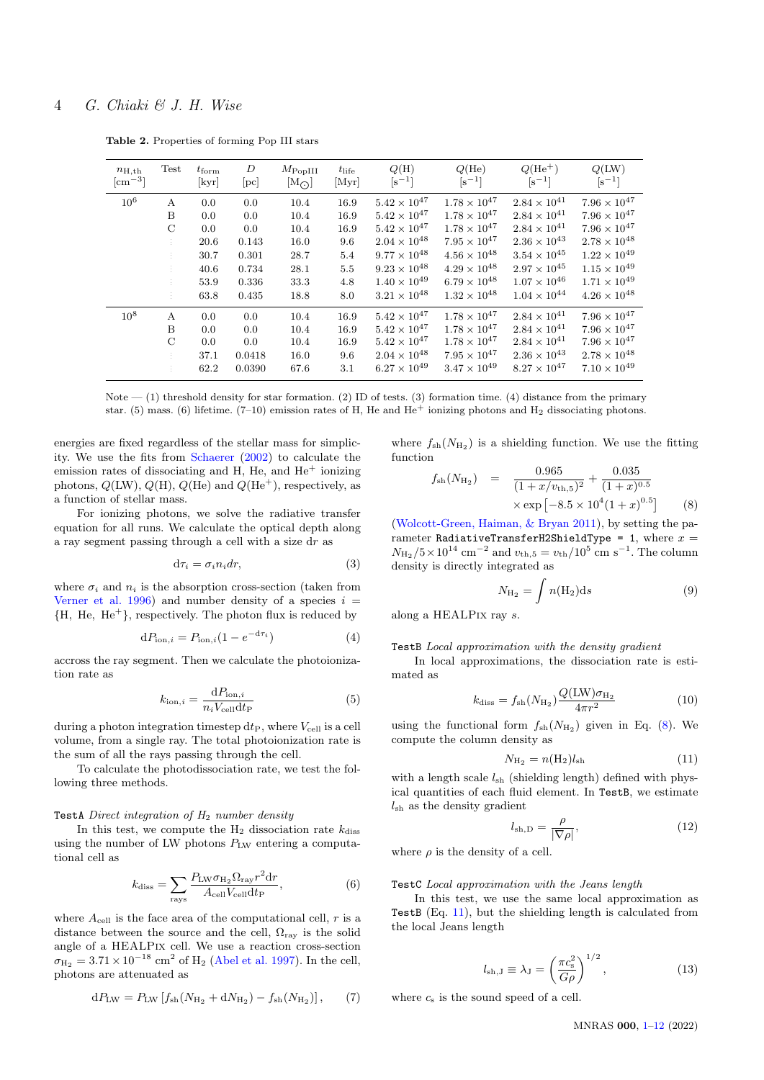| $n_{\rm H, th}$<br>$\rm[cm^{-3}]$ | Test          | $t_{\rm form}$<br>[kyr] | D<br>$[\mathrm{pc}]$ | $M_{\rm Pop III}$<br>$[M_{\bigodot}]$ | $t_{\rm life}$<br>[Myr] | Q(H)<br>$[s^{-1}]$    | $Q$ (He)<br>$\lceil s^{-1} \rceil$ | $Q(He^+)$<br>$\lceil s^{-1} \rceil$ | Q(LW)<br>$\lceil s^{-1} \rceil$ |
|-----------------------------------|---------------|-------------------------|----------------------|---------------------------------------|-------------------------|-----------------------|------------------------------------|-------------------------------------|---------------------------------|
| $10^6$                            | A             | 0.0                     | 0.0                  | 10.4                                  | 16.9                    | $5.42\times10^{47}$   | $1.78\times10^{47}$                | $2.84\times10^{41}$                 | $7.96 \times 10^{47}$           |
|                                   | B             | 0.0                     | 0.0                  | 10.4                                  | 16.9                    | $5.42 \times 10^{47}$ | $1.78 \times 10^{47}$              | $2.84 \times 10^{41}$               | $7.96 \times 10^{47}$           |
|                                   | $\mathcal{C}$ | 0.0                     | 0.0                  | 10.4                                  | 16.9                    | $5.42 \times 10^{47}$ | $1.78 \times 10^{47}$              | $2.84 \times 10^{41}$               | $7.96 \times 10^{47}$           |
|                                   | ÷.            | 20.6                    | 0.143                | 16.0                                  | 9.6                     | $2.04 \times 10^{48}$ | $7.95 \times 10^{47}$              | $2.36 \times 10^{43}$               | $2.78 \times 10^{48}$           |
|                                   | ÷.            | 30.7                    | 0.301                | 28.7                                  | 5.4                     | $9.77 \times 10^{48}$ | $4.56 \times 10^{48}$              | $3.54\times10^{45}$                 | $1.22 \times 10^{49}$           |
|                                   |               | 40.6                    | 0.734                | 28.1                                  | 5.5                     | $9.23 \times 10^{48}$ | $4.29 \times 10^{48}$              | $2.97 \times 10^{45}$               | $1.15 \times 10^{49}$           |
|                                   |               | 53.9                    | 0.336                | 33.3                                  | 4.8                     | $1.40 \times 10^{49}$ | $6.79 \times 10^{48}$              | $1.07 \times 10^{46}$               | $1.71 \times 10^{49}$           |
|                                   | ÷.            | 63.8                    | 0.435                | 18.8                                  | 8.0                     | $3.21 \times 10^{48}$ | $1.32 \times 10^{48}$              | $1.04 \times 10^{44}$               | $4.26 \times 10^{48}$           |
| $10^{8}$                          | A             | 0.0                     | 0.0                  | 10.4                                  | 16.9                    | $5.42 \times 10^{47}$ | $1.78\times10^{47}$                | $2.84 \times 10^{41}$               | $7.96 \times 10^{47}$           |
|                                   | B             | 0.0                     | 0.0                  | 10.4                                  | 16.9                    | $5.42 \times 10^{47}$ | $1.78 \times 10^{47}$              | $2.84 \times 10^{41}$               | $7.96 \times 10^{47}$           |
|                                   | $\mathcal{C}$ | 0.0                     | 0.0                  | 10.4                                  | 16.9                    | $5.42 \times 10^{47}$ | $1.78 \times 10^{47}$              | $2.84 \times 10^{41}$               | $7.96 \times 10^{47}$           |
|                                   |               | 37.1                    | 0.0418               | 16.0                                  | 9.6                     | $2.04 \times 10^{48}$ | $7.95 \times 10^{47}$              | $2.36 \times 10^{43}$               | $2.78 \times 10^{48}$           |
|                                   |               | 62.2                    | 0.0390               | 67.6                                  | 3.1                     | $6.27 \times 10^{49}$ | $3.47 \times 10^{49}$              | $8.27 \times 10^{47}$               | $7.10\times10^{49}$             |

<span id="page-3-2"></span>Table 2. Properties of forming Pop III stars

Note  $-$  (1) threshold density for star formation. (2) ID of tests. (3) formation time. (4) distance from the primary star. (5) mass. (6) lifetime. (7–10) emission rates of H, He and  $He<sup>+</sup>$  ionizing photons and  $H<sub>2</sub>$  dissociating photons.

energies are fixed regardless of the stellar mass for simplicity. We use the fits from [Schaerer](#page-11-30) [\(2002\)](#page-11-30) to calculate the emission rates of dissociating and H, He, and  $He<sup>+</sup>$  ionizing photons,  $Q(LW)$ ,  $Q(H)$ ,  $Q(He)$  and  $Q(He<sup>+</sup>)$ , respectively, as a function of stellar mass.

For ionizing photons, we solve the radiative transfer equation for all runs. We calculate the optical depth along a ray segment passing through a cell with a size dr as

$$
d\tau_i = \sigma_i n_i dr,\tag{3}
$$

where  $\sigma_i$  and  $n_i$  is the absorption cross-section (taken from [Verner et al.](#page-11-31) [1996\)](#page-11-31) and number density of a species  $i =$  ${H, He, He<sup>+</sup>},$  respectively. The photon flux is reduced by

$$
dP_{\text{ion},i} = P_{\text{ion},i}(1 - e^{-d\tau_i})\tag{4}
$$

accross the ray segment. Then we calculate the photoionization rate as

$$
k_{\text{ion},i} = \frac{\text{d}P_{\text{ion},i}}{n_i V_{\text{cell}} \text{d}t_{\text{P}}}
$$
\n
$$
\tag{5}
$$

during a photon integration timestep  $dt_{\text{P}}$ , where  $V_{\text{cell}}$  is a cell volume, from a single ray. The total photoionization rate is the sum of all the rays passing through the cell.

To calculate the photodissociation rate, we test the following three methods.

## TestA Direct integration of  $H_2$  number density

In this test, we compute the  $H_2$  dissociation rate  $k_{\text{diss}}$ using the number of LW photons PLW entering a computational cell as

$$
k_{\rm diss} = \sum_{\rm rays} \frac{P_{\rm LW}\sigma_{\rm H_2}\Omega_{\rm ray}r^2 dr}{A_{\rm cell}V_{\rm cell}dt_{\rm P}},\tag{6}
$$

where  $A_{\text{cell}}$  is the face area of the computational cell,  $r$  is a distance between the source and the cell,  $\Omega_{\text{ray}}$  is the solid angle of a HEALPix cell. We use a reaction cross-section  $\sigma_{\rm H_2} = 3.71 \times 10^{-18} \text{ cm}^2 \text{ of H_2} \text{ (Abel et al. 1997).}$  $\sigma_{\rm H_2} = 3.71 \times 10^{-18} \text{ cm}^2 \text{ of H_2} \text{ (Abel et al. 1997).}$  $\sigma_{\rm H_2} = 3.71 \times 10^{-18} \text{ cm}^2 \text{ of H_2} \text{ (Abel et al. 1997).}$  $\sigma_{\rm H_2} = 3.71 \times 10^{-18} \text{ cm}^2 \text{ of H_2} \text{ (Abel et al. 1997).}$  $\sigma_{\rm H_2} = 3.71 \times 10^{-18} \text{ cm}^2 \text{ of H_2} \text{ (Abel et al. 1997).}$  In the cell, photons are attenuated as

$$
dP_{\text{LW}} = P_{\text{LW}} \left[ f_{\text{sh}} (N_{\text{H}_2} + dN_{\text{H}_2}) - f_{\text{sh}} (N_{\text{H}_2}) \right],\tag{7}
$$

where  $f_{\rm sh}(N_{\rm H_2})$  is a shielding function. We use the fitting function

<span id="page-3-0"></span>
$$
f_{\rm sh}(N_{\rm H_2}) = \frac{0.965}{(1+x/v_{\rm th,5})^2} + \frac{0.035}{(1+x)^{0.5}} \times \exp\left[-8.5 \times 10^4 (1+x)^{0.5}\right]
$$
(8)

[\(Wolcott-Green, Haiman, & Bryan](#page-11-32) [2011\)](#page-11-32), by setting the parameter RadiativeTransferH2ShieldType = 1, where  $x =$  $N_{\text{H}_2} / 5 \times 10^{14} \text{ cm}^{-2}$  and  $v_{\text{th,5}} = v_{\text{th}} / 10^5 \text{ cm s}^{-1}$ . The column density is directly integrated as

$$
N_{\rm H_2} = \int n(\rm H_2) ds \tag{9}
$$

along a HEALPix ray s.

#### TestB Local approximation with the density gradient

In local approximations, the dissociation rate is estimated as

$$
k_{\rm diss} = f_{\rm sh}(N_{\rm H_2}) \frac{Q(LW)\sigma_{\rm H_2}}{4\pi r^2}
$$
 (10)

using the functional form  $f_{\text{sh}}(N_{\text{H}_2})$  given in Eq. [\(8\)](#page-3-0). We compute the column density as

<span id="page-3-1"></span>
$$
N_{\rm H_2} = n(\rm H_2) l_{\rm sh} \tag{11}
$$

with a length scale  $l_{sh}$  (shielding length) defined with physical quantities of each fluid element. In TestB, we estimate  $l_{\rm sh}$  as the density gradient

$$
l_{\text{sh,D}} = \frac{\rho}{|\nabla \rho|},\tag{12}
$$

where  $\rho$  is the density of a cell.

#### TestC Local approximation with the Jeans length

In this test, we use the same local approximation as TestB (Eq. [11\)](#page-3-1), but the shielding length is calculated from the local Jeans length

$$
l_{\mathrm{sh,J}} \equiv \lambda_{\mathrm{J}} = \left(\frac{\pi c_{\mathrm{s}}^2}{G\rho}\right)^{1/2},\tag{13}
$$

where  $c_s$  is the sound speed of a cell.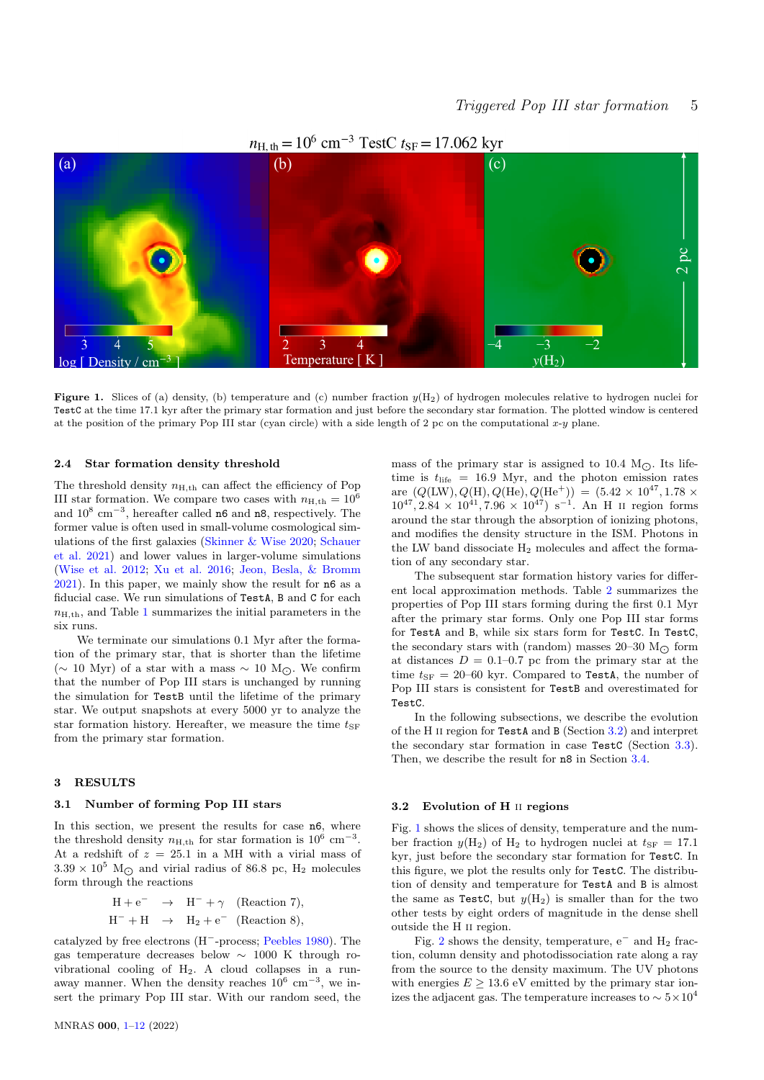

## $n_{\text{H, th}} = 10^6 \text{ cm}^{-3} \text{ TestC} t_{\text{SF}} = 17.062 \text{ kyr}$

**Figure 1.** Slices of (a) density, (b) temperature and (c) number fraction  $y(H_2)$  of hydrogen molecules relative to hydrogen nuclei for TestC at the time 17.1 kyr after the primary star formation and just before the secondary star formation. The plotted window is centered at the position of the primary Pop III star (cyan circle) with a side length of 2 pc on the computational  $x-y$  plane.

#### 2.4 Star formation density threshold

The threshold density  $n_{\text{H,th}}$  can affect the efficiency of Pop III star formation. We compare two cases with  $n_{\text{H,th}} = 10^6$ and  $10^8$  cm<sup>-3</sup>, hereafter called n6 and n8, respectively. The former value is often used in small-volume cosmological simulations of the first galaxies [\(Skinner & Wise](#page-11-33) [2020;](#page-11-33) [Schauer](#page-11-21) [et al.](#page-11-21) [2021\)](#page-11-21) and lower values in larger-volume simulations [\(Wise et al.](#page-11-34) [2012;](#page-11-34) [Xu et al.](#page-11-35) [2016;](#page-11-35) [Jeon, Besla, & Bromm](#page-10-24) [2021\)](#page-10-24). In this paper, we mainly show the result for n6 as a fiducial case. We run simulations of TestA, B and C for each  $n<sub>H-th</sub>$ , and Table [1](#page-2-1) summarizes the initial parameters in the six runs.

We terminate our simulations 0.1 Myr after the formation of the primary star, that is shorter than the lifetime (∼ 10 Myr) of a star with a mass  $\sim$  10 M<sub> $\odot$ </sub>. We confirm that the number of Pop III stars is unchanged by running the simulation for TestB until the lifetime of the primary star. We output snapshots at every 5000 yr to analyze the star formation history. Hereafter, we measure the time  $t_{\text{SF}}$ from the primary star formation.

## <span id="page-4-0"></span>3 RESULTS

## 3.1 Number of forming Pop III stars

In this section, we present the results for case n6, where the threshold density  $n_{\text{H,th}}$  for star formation is  $10^6 \text{ cm}^{-3}$ . At a redshift of  $z = 25.1$  in a MH with a virial mass of  $3.39 \times 10^5$  M<sub>O</sub> and virial radius of 86.8 pc, H<sub>2</sub> molecules form through the reactions

<span id="page-4-3"></span>
$$
H + e^- \rightarrow H^- + \gamma
$$
 (Reaction 7),  
\n $H^- + H \rightarrow H_2 + e^-$  (Reaction 8),

catalyzed by free electrons (H<sup>−</sup>-process; [Peebles](#page-11-36) [1980\)](#page-11-36). The gas temperature decreases below ∼ 1000 K through rovibrational cooling of H2. A cloud collapses in a runaway manner. When the density reaches  $10^6 \text{ cm}^{-3}$ , we insert the primary Pop III star. With our random seed, the

<span id="page-4-2"></span>mass of the primary star is assigned to 10.4  $M_{\odot}$ . Its lifetime is  $t_{\text{life}} = 16.9$  Myr, and the photon emission rates are  $(Q(LW), Q(H), Q(He), Q(He^+)) = (5.42 \times 10^{47}, 1.78 \times$  $10^{47}$ ,  $2.84 \times 10^{41}$ ,  $7.96 \times 10^{47}$ ) s<sup>-1</sup>. An H II region forms around the star through the absorption of ionizing photons, and modifies the density structure in the ISM. Photons in the LW band dissociate  $H_2$  molecules and affect the formation of any secondary star.

The subsequent star formation history varies for different local approximation methods. Table [2](#page-3-2) summarizes the properties of Pop III stars forming during the first 0.1 Myr after the primary star forms. Only one Pop III star forms for TestA and B, while six stars form for TestC. In TestC, the secondary stars with (random) masses 20–30  $M_{\odot}$  form at distances  $D = 0.1{\text{-}}0.7$  pc from the primary star at the time  $t_{\rm SF} = 20$ –60 kyr. Compared to TestA, the number of Pop III stars is consistent for TestB and overestimated for TestC.

In the following subsections, we describe the evolution of the H ii region for TestA and B (Section [3.2\)](#page-4-1) and interpret the secondary star formation in case TestC (Section [3.3\)](#page-6-0). Then, we describe the result for n8 in Section [3.4.](#page-6-1)

## <span id="page-4-1"></span>3.2 Evolution of H ii regions

Fig. [1](#page-4-2) shows the slices of density, temperature and the number fraction  $y(H_2)$  of  $H_2$  to hydrogen nuclei at  $t_{\text{SF}} = 17.1$ kyr, just before the secondary star formation for TestC. In this figure, we plot the results only for TestC. The distribution of density and temperature for TestA and B is almost the same as TestC, but  $y(H_2)$  is smaller than for the two other tests by eight orders of magnitude in the dense shell outside the H ii region.

Fig. [2](#page-5-0) shows the density, temperature,  $e^-$  and  $H_2$  fraction, column density and photodissociation rate along a ray from the source to the density maximum. The UV photons with energies  $E \geq 13.6$  eV emitted by the primary star ionizes the adjacent gas. The temperature increases to  $\sim 5 \times 10^4$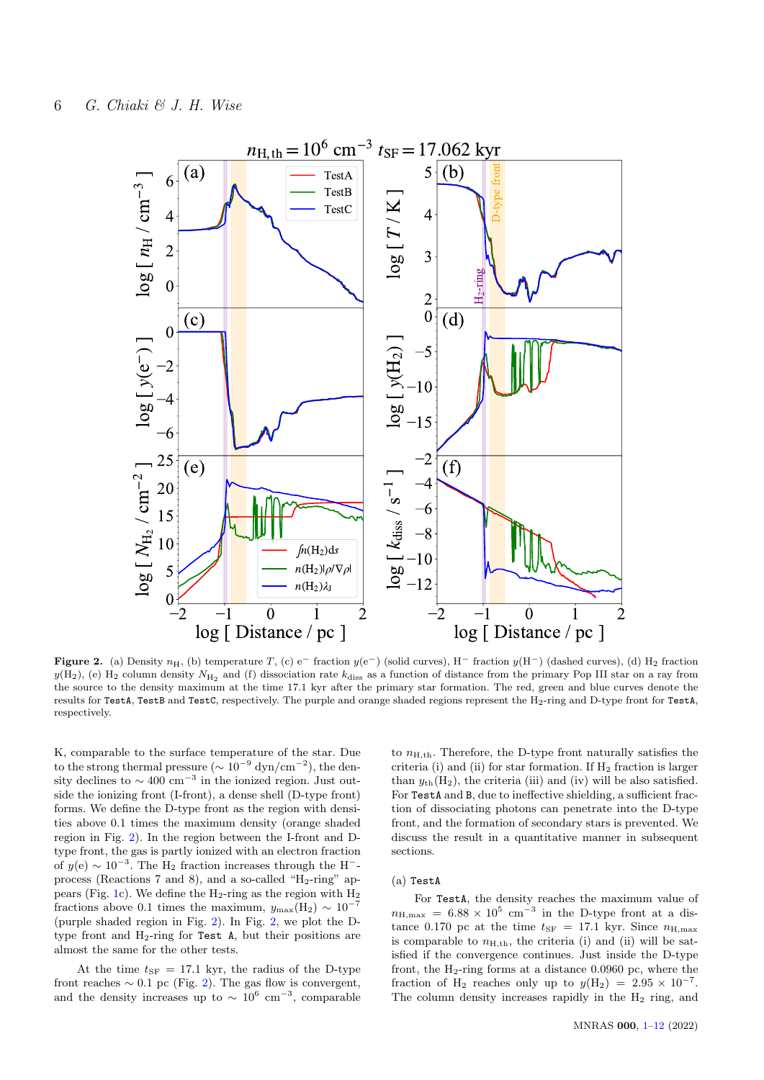

Figure 2. (a) Density  $n_H$ , (b) temperature T, (c) e<sup>-</sup> fraction  $y(e^-)$  (solid curves), H<sup>-</sup> fraction  $y(H^-)$  (dashed curves), (d) H<sub>2</sub> fraction  $y(H_2)$ , (e)  $H_2$  column density  $N_{H_2}$  and (f) dissociation rate  $k_{\text{diss}}$  as a function of distance from the primary Pop III star on a ray from the source to the density maximum at the time 17.1 kyr after the primary star formation. The red, green and blue curves denote the results for TestA, TestB and TestC, respectively. The purple and orange shaded regions represent the H2-ring and D-type front for TestA, respectively.

K, comparable to the surface temperature of the star. Due to the strong thermal pressure ( $\sim 10^{-9}$  dyn/cm<sup>-2</sup>), the density declines to  $\sim 400 \text{ cm}^{-3}$  in the ionized region. Just outside the ionizing front (I-front), a dense shell (D-type front) forms. We define the D-type front as the region with densities above 0.1 times the maximum density (orange shaded region in Fig. [2\)](#page-5-0). In the region between the I-front and Dtype front, the gas is partly ionized with an electron fraction of  $y(e) \sim 10^{-3}$ . The H<sub>2</sub> fraction increases through the H<sup>-</sup>process (Reactions 7 and 8), and a so-called " $H_2$ -ring" ap-pears (Fig. [1c](#page-4-2)). We define the  $H_2$ -ring as the region with  $H_2$ fractions above 0.1 times the maximum,  $y_{\text{max}}(H_2) \sim 10^{-7}$ (purple shaded region in Fig. [2\)](#page-5-0). In Fig. [2,](#page-5-0) we plot the Dtype front and  $H_2$ -ring for Test A, but their positions are almost the same for the other tests.

At the time  $t_{\rm SF} = 17.1$  kyr, the radius of the D-type front reaches  $\sim 0.1$  pc (Fig. [2\)](#page-5-0). The gas flow is convergent, and the density increases up to  $\sim 10^6$  cm<sup>-3</sup>, comparable

<span id="page-5-0"></span>to  $n_{\text{H},th}$ . Therefore, the D-type front naturally satisfies the criteria (i) and (ii) for star formation. If  $H_2$  fraction is larger than  $y_{th}(H_2)$ , the criteria (iii) and (iv) will be also satisfied. For TestA and B, due to ineffective shielding, a sufficient fraction of dissociating photons can penetrate into the D-type front, and the formation of secondary stars is prevented. We discuss the result in a quantitative manner in subsequent sections.

## (a) TestA

For TestA, the density reaches the maximum value of  $n_{\text{H,max}} = 6.88 \times 10^5 \text{ cm}^{-3}$  in the D-type front at a distance 0.170 pc at the time  $t_{SF} = 17.1$  kyr. Since  $n_{\text{H,max}}$ is comparable to  $n_{\text{H,th}}$ , the criteria (i) and (ii) will be satisfied if the convergence continues. Just inside the D-type front, the  $H_2$ -ring forms at a distance 0.0960 pc, where the fraction of H<sub>2</sub> reaches only up to  $y(H_2) = 2.95 \times 10^{-7}$ . The column density increases rapidly in the  $H_2$  ring, and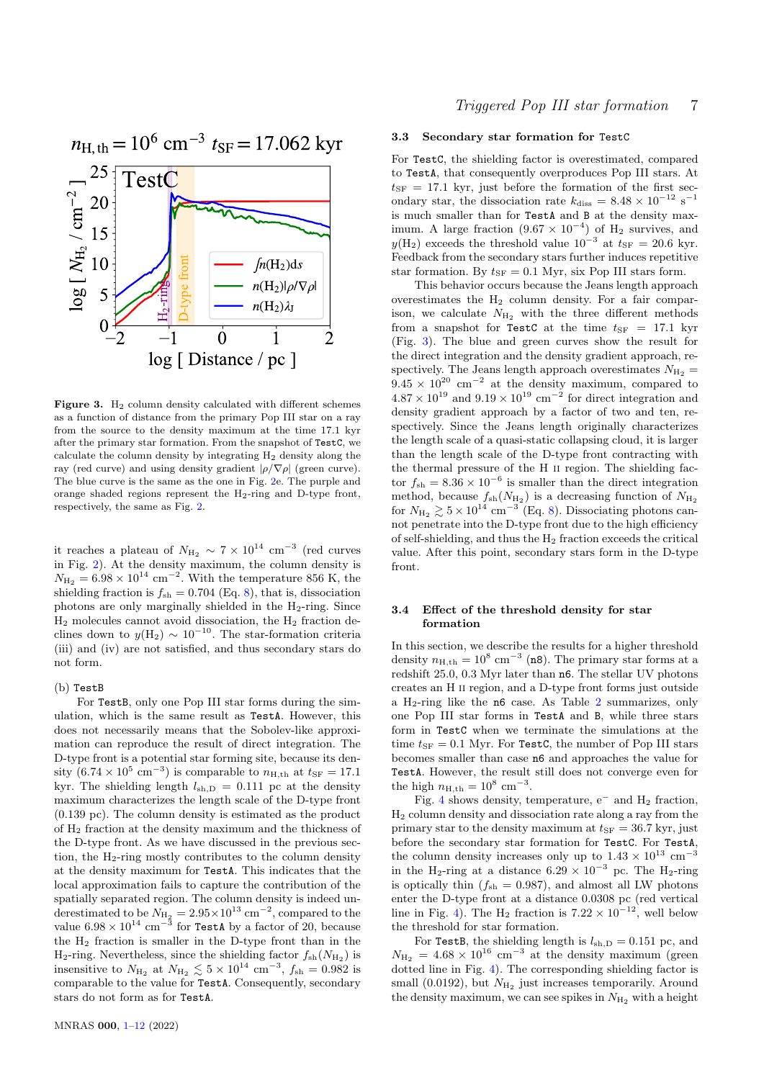

<span id="page-6-2"></span>Figure 3.  $H_2$  column density calculated with different schemes as a function of distance from the primary Pop III star on a ray from the source to the density maximum at the time 17.1 kyr after the primary star formation. From the snapshot of TestC, we calculate the column density by integrating H<sup>2</sup> density along the ray (red curve) and using density gradient  $|\rho/\nabla \rho|$  (green curve). The blue curve is the same as the one in Fig. [2e](#page-5-0). The purple and orange shaded regions represent the  $H_2$ -ring and D-type front, respectively, the same as Fig. [2.](#page-5-0)

it reaches a plateau of  $N_{\text{H}_2} \sim 7 \times 10^{14} \text{ cm}^{-3}$  (red curves in Fig. [2\)](#page-5-0). At the density maximum, the column density is  $N_{\text{H}_2} = 6.98 \times 10^{14} \text{ cm}^{-2}$ . With the temperature 856 K, the shielding fraction is  $f_{\rm sh} = 0.704$  (Eq. [8\)](#page-3-0), that is, dissociation photons are only marginally shielded in the H2-ring. Since  $\rm H_2$  molecules cannot avoid dissociation, the  $\rm H_2$  fraction declines down to  $y(H_2) \sim 10^{-10}$ . The star-formation criteria (iii) and (iv) are not satisfied, and thus secondary stars do not form.

## (b) TestB

For TestB, only one Pop III star forms during the simulation, which is the same result as TestA. However, this does not necessarily means that the Sobolev-like approximation can reproduce the result of direct integration. The D-type front is a potential star forming site, because its density  $(6.74 \times 10^5 \text{ cm}^{-3})$  is comparable to  $n_{\text{H,th}}$  at  $t_{\text{SF}} = 17.1$ kyr. The shielding length  $l_{\text{sh,D}} = 0.111$  pc at the density maximum characterizes the length scale of the D-type front (0.139 pc). The column density is estimated as the product of H<sup>2</sup> fraction at the density maximum and the thickness of the D-type front. As we have discussed in the previous section, the  $H_2$ -ring mostly contributes to the column density at the density maximum for TestA. This indicates that the local approximation fails to capture the contribution of the spatially separated region. The column density is indeed underestimated to be  $N_{\rm H_2} = 2.95 \times 10^{13} \text{ cm}^{-2}$ , compared to the value  $6.98 \times 10^{14}~\mathrm{cm}^{-3}$  for TestA by a factor of 20, because the H<sup>2</sup> fraction is smaller in the D-type front than in the  $H_2$ -ring. Nevertheless, since the shielding factor  $f_{sh}(N_{H_2})$  is insensitive to  $N_{\text{H}_2}$  at  $N_{\text{H}_2} \lesssim 5 \times 10^{14} \text{ cm}^{-3}$ ,  $f_{\text{sh}} = 0.982$  is comparable to the value for TestA. Consequently, secondary stars do not form as for TestA.

#### <span id="page-6-0"></span>3.3 Secondary star formation for TestC

For TestC, the shielding factor is overestimated, compared to TestA, that consequently overproduces Pop III stars. At  $t_{\rm SF}$  = 17.1 kyr, just before the formation of the first secondary star, the dissociation rate  $k_{\text{diss}} = 8.48 \times 10^{-12} \text{ s}^{-1}$ is much smaller than for TestA and B at the density maximum. A large fraction  $(9.67 \times 10^{-4})$  of H<sub>2</sub> survives, and  $y(H_2)$  exceeds the threshold value  $10^{-3}$  at  $t_{SF} = 20.6$  kyr. Feedback from the secondary stars further induces repetitive star formation. By  $t_{SF} = 0.1$  Myr, six Pop III stars form.

This behavior occurs because the Jeans length approach overestimates the  $H_2$  column density. For a fair comparison, we calculate  $N_{\text{H}_2}$  with the three different methods from a snapshot for TestC at the time  $t_{SF}$  = 17.1 kyr (Fig. [3\)](#page-6-2). The blue and green curves show the result for the direct integration and the density gradient approach, respectively. The Jeans length approach overestimates  $N_{\text{H}_2}$  =  $9.45 \times 10^{20}$  cm<sup>-2</sup> at the density maximum, compared to  $4.87 \times 10^{19}$  and  $9.19 \times 10^{19}$  cm<sup>-2</sup> for direct integration and density gradient approach by a factor of two and ten, respectively. Since the Jeans length originally characterizes the length scale of a quasi-static collapsing cloud, it is larger than the length scale of the D-type front contracting with the thermal pressure of the H ii region. The shielding factor  $f_{\rm sh} = 8.36 \times 10^{-6}$  is smaller than the direct integration method, because  $f_{\rm sh}(N_{\rm H_2})$  is a decreasing function of  $N_{\rm H_2}$ for  $N_{\text{H}_2} \gtrsim 5 \times 10^{14} \text{ cm}^{-3}$  (Eq. [8\)](#page-3-0). Dissociating photons cannot penetrate into the D-type front due to the high efficiency of self-shielding, and thus the  $H_2$  fraction exceeds the critical value. After this point, secondary stars form in the D-type front.

## <span id="page-6-1"></span>3.4 Effect of the threshold density for star formation

In this section, we describe the results for a higher threshold density  $n_{\text{H,th}} = 10^8 \text{ cm}^{-3}$  (n8). The primary star forms at a redshift 25.0, 0.3 Myr later than n6. The stellar UV photons creates an H ii region, and a D-type front forms just outside a H<sub>[2](#page-3-2)</sub>-ring like the  $n6$  case. As Table 2 summarizes, only one Pop III star forms in TestA and B, while three stars form in TestC when we terminate the simulations at the time  $t_{\text{SF}} = 0.1$  Myr. For TestC, the number of Pop III stars becomes smaller than case n6 and approaches the value for TestA. However, the result still does not converge even for the high  $n_{\rm H,th} = 10^8$  cm<sup>-3</sup>.

Fig. [4](#page-7-1) shows density, temperature,  $e^-$  and  $H_2$  fraction, H<sup>2</sup> column density and dissociation rate along a ray from the primary star to the density maximum at  $t_{SF} = 36.7$  kyr, just before the secondary star formation for TestC. For TestA, the column density increases only up to  $1.43 \times 10^{13}$  cm<sup>-3</sup> in the H<sub>2</sub>-ring at a distance  $6.29 \times 10^{-3}$  pc. The H<sub>2</sub>-ring is optically thin  $(f_{\rm sh} = 0.987)$ , and almost all LW photons enter the D-type front at a distance 0.0308 pc (red vertical line in Fig. [4\)](#page-7-1). The H<sub>2</sub> fraction is  $7.22 \times 10^{-12}$ , well below the threshold for star formation.

For TestB, the shielding length is  $l_{\text{sh,D}} = 0.151$  pc, and  $N_{\text{H}_2} = 4.68 \times 10^{16} \text{ cm}^{-3}$  at the density maximum (green dotted line in Fig. [4\)](#page-7-1). The corresponding shielding factor is small (0.0192), but  $N_{\text{H}_2}$  just increases temporarily. Around the density maximum, we can see spikes in  $N_{\rm H_2}$  with a height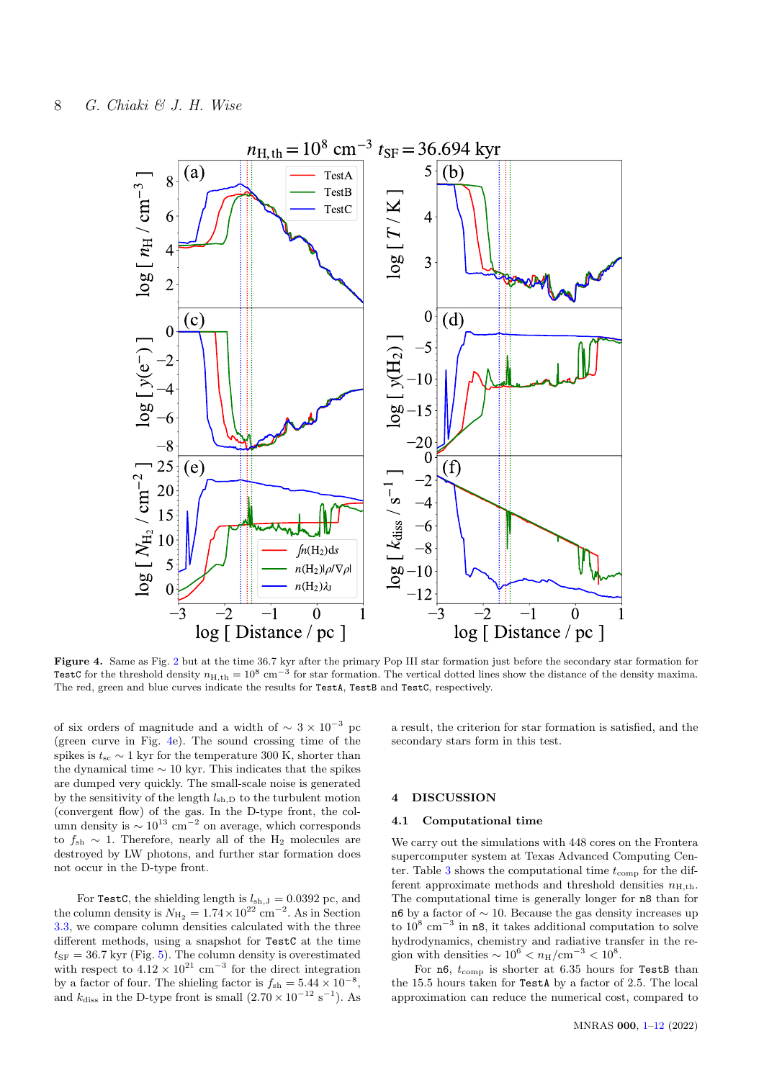

Figure 4. Same as Fig. [2](#page-5-0) but at the time 36.7 kyr after the primary Pop III star formation just before the secondary star formation for TestC for the threshold density  $n_{\text{H},\text{th}} = 10^8 \text{ cm}^{-3}$  for star formation. The vertical dotted lines show the distance of the density maxima. The red, green and blue curves indicate the results for TestA, TestB and TestC, respectively.

of six orders of magnitude and a width of  $\sim 3 \times 10^{-3}$  pc (green curve in Fig. [4e](#page-7-1)). The sound crossing time of the spikes is  $t_{\rm sc} \sim 1$  kyr for the temperature 300 K, shorter than the dynamical time  $\sim$  10 kyr. This indicates that the spikes are dumped very quickly. The small-scale noise is generated by the sensitivity of the length  $l_{\rm sh,D}$  to the turbulent motion (convergent flow) of the gas. In the D-type front, the column density is  $\sim 10^{13}$  cm<sup>-2</sup> on average, which corresponds to  $f_{\rm sh}$  ∼ 1. Therefore, nearly all of the H<sub>2</sub> molecules are destroyed by LW photons, and further star formation does not occur in the D-type front.

For TestC, the shielding length is  $l_{sh,J} = 0.0392$  pc, and the column density is  $N_{\text{H}_2} = 1.74 \times 10^{22} \text{ cm}^{-2}$ . As in Section [3.3,](#page-6-0) we compare column densities calculated with the three different methods, using a snapshot for TestC at the time  $t_{\rm SF} = 36.7$  kyr (Fig. [5\)](#page-8-0). The column density is overestimated with respect to  $4.12 \times 10^{21}$  cm<sup>-3</sup> for the direct integration by a factor of four. The shieling factor is  $f_{\rm sh} = 5.44 \times 10^{-8}$ , and  $k_{\text{diss}}$  in the D-type front is small  $(2.70 \times 10^{-12} \text{ s}^{-1})$ . As

<span id="page-7-1"></span>a result, the criterion for star formation is satisfied, and the secondary stars form in this test.

## <span id="page-7-0"></span>4 DISCUSSION

## 4.1 Computational time

We carry out the simulations with 448 cores on the Frontera supercomputer system at Texas Advanced Computing Cen-ter. Table [3](#page-8-1) shows the computational time  $t_{\text{comp}}$  for the different approximate methods and threshold densities  $n_{\text{H,th}}$ . The computational time is generally longer for n8 than for n6 by a factor of ∼ 10. Because the gas density increases up to  $10^8$  cm<sup>-3</sup> in n8, it takes additional computation to solve hydrodynamics, chemistry and radiative transfer in the region with densities  $\sim 10^6 < n_H/cm^{-3} < 10^8$ .

For  $n6$ ,  $t_{\text{comp}}$  is shorter at 6.35 hours for TestB than the 15.5 hours taken for TestA by a factor of 2.5. The local approximation can reduce the numerical cost, compared to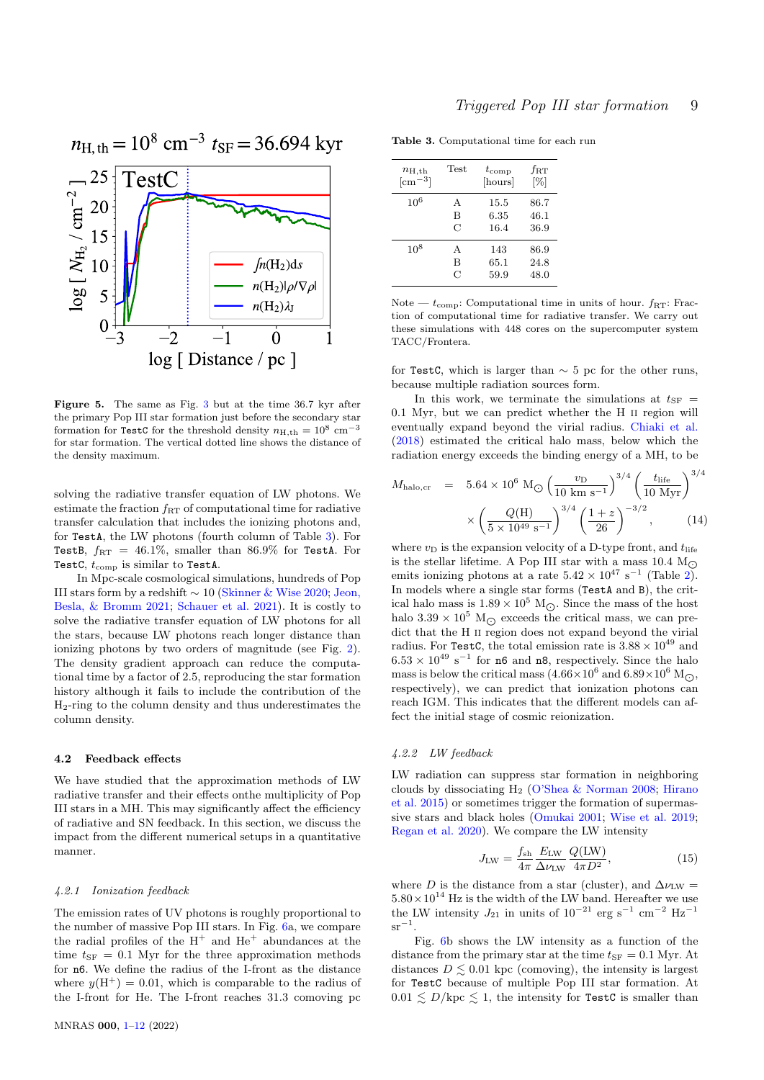

<span id="page-8-0"></span>Figure 5. The same as Fig. [3](#page-6-2) but at the time 36.7 kyr after the primary Pop III star formation just before the secondary star formation for TestC for the threshold density  $n_{\text{H,th}} = 10^8 \text{ cm}^{-3}$ for star formation. The vertical dotted line shows the distance of the density maximum.

solving the radiative transfer equation of LW photons. We estimate the fraction  $f_{RT}$  of computational time for radiative transfer calculation that includes the ionizing photons and, for TestA, the LW photons (fourth column of Table [3\)](#page-8-1). For TestB,  $f_{\rm RT} = 46.1\%$ , smaller than 86.9% for TestA. For TestC,  $t_{\text{comp}}$  is similar to TestA.

In Mpc-scale cosmological simulations, hundreds of Pop III stars form by a redshift  $\sim 10$  [\(Skinner & Wise](#page-11-33) [2020;](#page-11-33) [Jeon,](#page-10-24) [Besla, & Bromm](#page-10-24) [2021;](#page-10-24) [Schauer et al.](#page-11-21) [2021\)](#page-11-21). It is costly to solve the radiative transfer equation of LW photons for all the stars, because LW photons reach longer distance than ionizing photons by two orders of magnitude (see Fig. [2\)](#page-5-0). The density gradient approach can reduce the computational time by a factor of 2.5, reproducing the star formation history although it fails to include the contribution of the H2-ring to the column density and thus underestimates the column density.

#### 4.2 Feedback effects

We have studied that the approximation methods of LW radiative transfer and their effects onthe multiplicity of Pop III stars in a MH. This may significantly affect the efficiency of radiative and SN feedback. In this section, we discuss the impact from the different numerical setups in a quantitative manner.

#### 4.2.1 Ionization feedback

The emission rates of UV photons is roughly proportional to the number of massive Pop III stars. In Fig. [6a](#page-9-0), we compare the radial profiles of the  $H^+$  and  $He^+$  abundances at the time  $t_{\rm SF} = 0.1$  Myr for the three approximation methods for n6. We define the radius of the I-front as the distance where  $y(H^+) = 0.01$ , which is comparable to the radius of the I-front for He. The I-front reaches 31.3 comoving pc

<span id="page-8-1"></span>Table 3. Computational time for each run

| $n_{\rm H, th}$ | Test | $t_{\rm comp}$ | $f_{\rm RT}$ |
|-----------------|------|----------------|--------------|
| $\rm[cm^{-3}]$  |      | [hours]        | [%]          |
| $10^{6}$        | А    | 15.5           | 86.7         |
|                 | B    | 6.35           | 46.1         |
|                 | C    | 16.4           | 36.9         |
| $10^{8}$        | А    | 143            | 86.9         |
|                 | В    | 65.1           | 24.8         |
|                 | C    | 59.9           | 48.0         |

Note —  $t_{\text{comp}}$ : Computational time in units of hour.  $f_{\text{RT}}$ : Fraction of computational time for radiative transfer. We carry out these simulations with 448 cores on the supercomputer system TACC/Frontera.

for TestC, which is larger than  $\sim$  5 pc for the other runs, because multiple radiation sources form.

In this work, we terminate the simulations at  $t_{\rm SF}$  = 0.1 Myr, but we can predict whether the H ii region will eventually expand beyond the virial radius. [Chiaki et al.](#page-10-25) [\(2018\)](#page-10-25) estimated the critical halo mass, below which the radiation energy exceeds the binding energy of a MH, to be

$$
M_{\text{halo,cr}} = 5.64 \times 10^6 \text{ M}_{\odot} \left(\frac{v_{\text{D}}}{10 \text{ km s}^{-1}}\right)^{3/4} \left(\frac{t_{\text{life}}}{10 \text{ Myr}}\right)^{3/4} \times \left(\frac{Q(\text{H})}{5 \times 10^{49} \text{ s}^{-1}}\right)^{3/4} \left(\frac{1+z}{26}\right)^{-3/2}, \quad (14)
$$

where  $v_D$  is the expansion velocity of a D-type front, and  $t_{\text{life}}$ is the stellar lifetime. A Pop III star with a mass 10.4  $M_{\odot}$ emits ionizing photons at a rate  $5.42 \times 10^{47}$  s<sup>-1</sup> (Table [2\)](#page-3-2). In models where a single star forms (TestA and B), the critical halo mass is  $1.89\times 10^5$   ${\rm M_\odot}.$  Since the mass of the host halo  $3.39 \times 10^5$  M<sub> $\odot$ </sub> exceeds the critical mass, we can predict that the H II region does not expand beyond the virial radius. For TestC, the total emission rate is  $3.88 \times 10^{49}$  and  $6.53 \times 10^{49}$  s<sup>-1</sup> for **n6** and **n8**, respectively. Since the halo mass is below the critical mass  $(4.66 \times 10^6 \text{ and } 6.89 \times 10^6 \text{ M}_\odot)$ respectively), we can predict that ionization photons can reach IGM. This indicates that the different models can affect the initial stage of cosmic reionization.

## 4.2.2 LW feedback

LW radiation can suppress star formation in neighboring clouds by dissociating  $H_2$  [\(O'Shea & Norman](#page-11-37) [2008;](#page-11-37) [Hirano](#page-10-2) [et al.](#page-10-2) [2015\)](#page-10-2) or sometimes trigger the formation of supermassive stars and black holes [\(Omukai](#page-11-38) [2001;](#page-11-38) [Wise et al.](#page-11-39) [2019;](#page-11-39) [Regan et al.](#page-11-40) [2020\)](#page-11-40). We compare the LW intensity

$$
J_{\rm LW} = \frac{f_{\rm sh}}{4\pi} \frac{E_{\rm LW}}{\Delta \nu_{\rm LW}} \frac{Q(\rm LW)}{4\pi D^2},\tag{15}
$$

where D is the distance from a star (cluster), and  $\Delta \nu_{\rm LW}$  =  $5.80 \times 10^{14}$  Hz is the width of the LW band. Hereafter we use the LW intensity  $J_{21}$  in units of  $10^{-21}$  erg s<sup>-1</sup> cm<sup>-2</sup> Hz<sup>-1</sup>  $sr^{-1}$ .

Fig. [6b](#page-9-0) shows the LW intensity as a function of the distance from the primary star at the time  $t_{SF} = 0.1$  Myr. At distances  $D \leq 0.01$  kpc (comoving), the intensity is largest for TestC because of multiple Pop III star formation. At  $0.01 \lesssim D/\text{kpc} \lesssim 1$ , the intensity for TestC is smaller than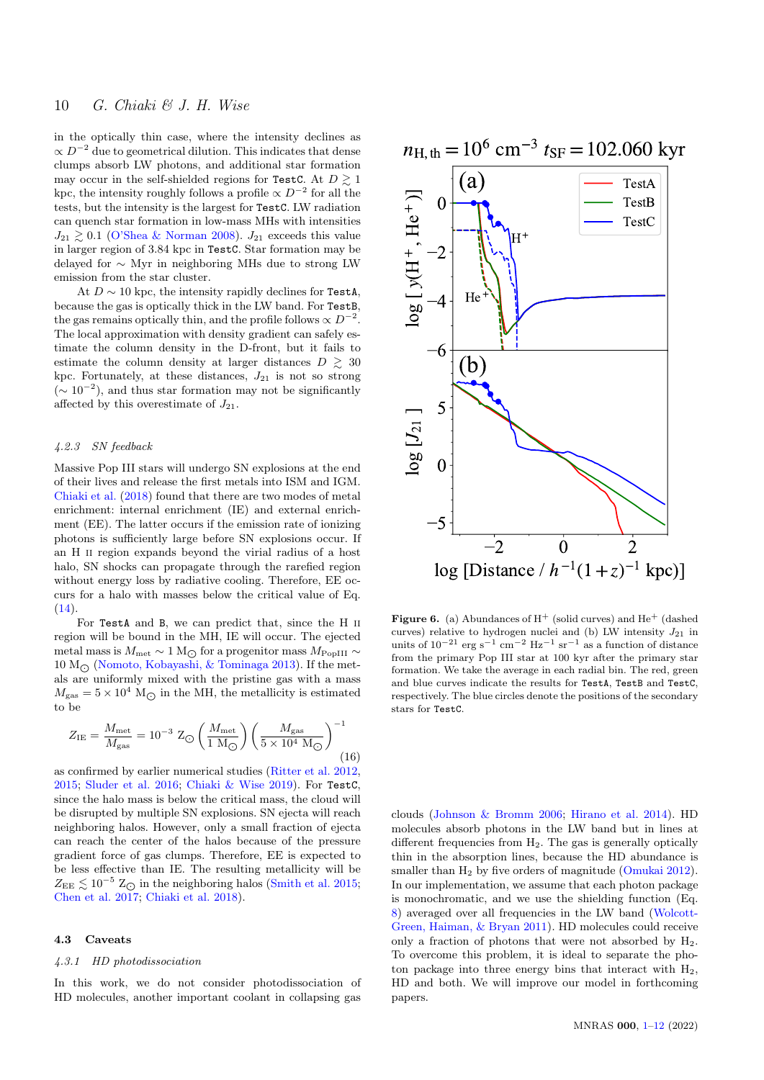in the optically thin case, where the intensity declines as  $\propto D^{-2}$  due to geometrical dilution. This indicates that dense clumps absorb LW photons, and additional star formation may occur in the self-shielded regions for TestC. At  $D \geq 1$ kpc, the intensity roughly follows a profile  $\propto D^{-2}$  for all the tests, but the intensity is the largest for TestC. LW radiation can quench star formation in low-mass MHs with intensities  $J_{21} \geq 0.1$  [\(O'Shea & Norman](#page-11-37) [2008\)](#page-11-37).  $J_{21}$  exceeds this value in larger region of 3.84 kpc in TestC. Star formation may be delayed for ∼ Myr in neighboring MHs due to strong LW emission from the star cluster.

At  $D \sim 10$  kpc, the intensity rapidly declines for TestA. because the gas is optically thick in the LW band. For TestB, the gas remains optically thin, and the profile follows  $\propto D^{-2}$ . The local approximation with density gradient can safely estimate the column density in the D-front, but it fails to estimate the column density at larger distances  $D \geq 30$ kpc. Fortunately, at these distances,  $J_{21}$  is not so strong  $({\sim 10^{-2}})$ , and thus star formation may not be significantly affected by this overestimate of  $J_{21}$ .

## 4.2.3 SN feedback

Massive Pop III stars will undergo SN explosions at the end of their lives and release the first metals into ISM and IGM. [Chiaki et al.](#page-10-25) [\(2018\)](#page-10-25) found that there are two modes of metal enrichment: internal enrichment (IE) and external enrichment (EE). The latter occurs if the emission rate of ionizing photons is sufficiently large before SN explosions occur. If an H ii region expands beyond the virial radius of a host halo, SN shocks can propagate through the rarefied region without energy loss by radiative cooling. Therefore, EE occurs for a halo with masses below the critical value of Eq.  $(14).$  $(14).$ 

For TestA and B, we can predict that, since the H ii region will be bound in the MH, IE will occur. The ejected metal mass is  $M_{\rm met} \sim 1 \,{\rm M_\odot}$  for a progenitor mass  $M_{\rm PopIII} \sim$  $10 M_{\odot}$  [\(Nomoto, Kobayashi, & Tominaga](#page-11-41) [2013\)](#page-11-41). If the metals are uniformly mixed with the pristine gas with a mass  $M_{\text{gas}} = 5 \times 10^4 \text{ M}_{\odot}$  in the MH, the metallicity is estimated to be

$$
Z_{\rm IE} = \frac{M_{\rm met}}{M_{\rm gas}} = 10^{-3} \, \, Z_{\bigodot} \left(\frac{M_{\rm met}}{1 \, \rm M_{\bigodot}}\right) \left(\frac{M_{\rm gas}}{5 \times 10^4 \, \rm M_{\bigodot}}\right)^{-1} \tag{16}
$$

as confirmed by earlier numerical studies [\(Ritter et al.](#page-11-42) [2012,](#page-11-42) [2015;](#page-11-11) [Sluder et al.](#page-11-43) [2016;](#page-11-43) [Chiaki & Wise](#page-10-21) [2019\)](#page-10-21). For TestC, since the halo mass is below the critical mass, the cloud will be disrupted by multiple SN explosions. SN ejecta will reach neighboring halos. However, only a small fraction of ejecta can reach the center of the halos because of the pressure gradient force of gas clumps. Therefore, EE is expected to be less effective than IE. The resulting metallicity will be  $Z_{\text{EE}} \lesssim 10^{-5}$  Z<sub>O</sub> in the neighboring halos [\(Smith et al.](#page-11-20) [2015;](#page-11-20) [Chen et al.](#page-10-26) [2017;](#page-10-26) [Chiaki et al.](#page-10-25) [2018\)](#page-10-25).

#### 4.3 Caveats

## 4.3.1 HD photodissociation

In this work, we do not consider photodissociation of HD molecules, another important coolant in collapsing gas



<span id="page-9-0"></span>**Figure 6.** (a) Abundances of  $H^+$  (solid curves) and  $He^+$  (dashed curves) relative to hydrogen nuclei and (b) LW intensity  $J_{21}$  in units of  $10^{-21}$  erg s<sup>-1</sup> cm<sup>-2</sup> Hz<sup>-1</sup> sr<sup>-1</sup> as a function of distance from the primary Pop III star at 100 kyr after the primary star formation. We take the average in each radial bin. The red, green and blue curves indicate the results for TestA, TestB and TestC, respectively. The blue circles denote the positions of the secondary stars for TestC.

clouds [\(Johnson & Bromm](#page-10-1) [2006;](#page-10-1) [Hirano et al.](#page-10-6) [2014\)](#page-10-6). HD molecules absorb photons in the LW band but in lines at different frequencies from  $H_2$ . The gas is generally optically thin in the absorption lines, because the HD abundance is smaller than H<sub>2</sub> by five orders of magnitude [\(Omukai](#page-11-44) [2012\)](#page-11-44). In our implementation, we assume that each photon package is monochromatic, and we use the shielding function (Eq. [8\)](#page-3-0) averaged over all frequencies in the LW band [\(Wolcott-](#page-11-32)[Green, Haiman, & Bryan](#page-11-32) [2011\)](#page-11-32). HD molecules could receive only a fraction of photons that were not absorbed by  $H_2$ . To overcome this problem, it is ideal to separate the photon package into three energy bins that interact with  $H_2$ , HD and both. We will improve our model in forthcoming papers.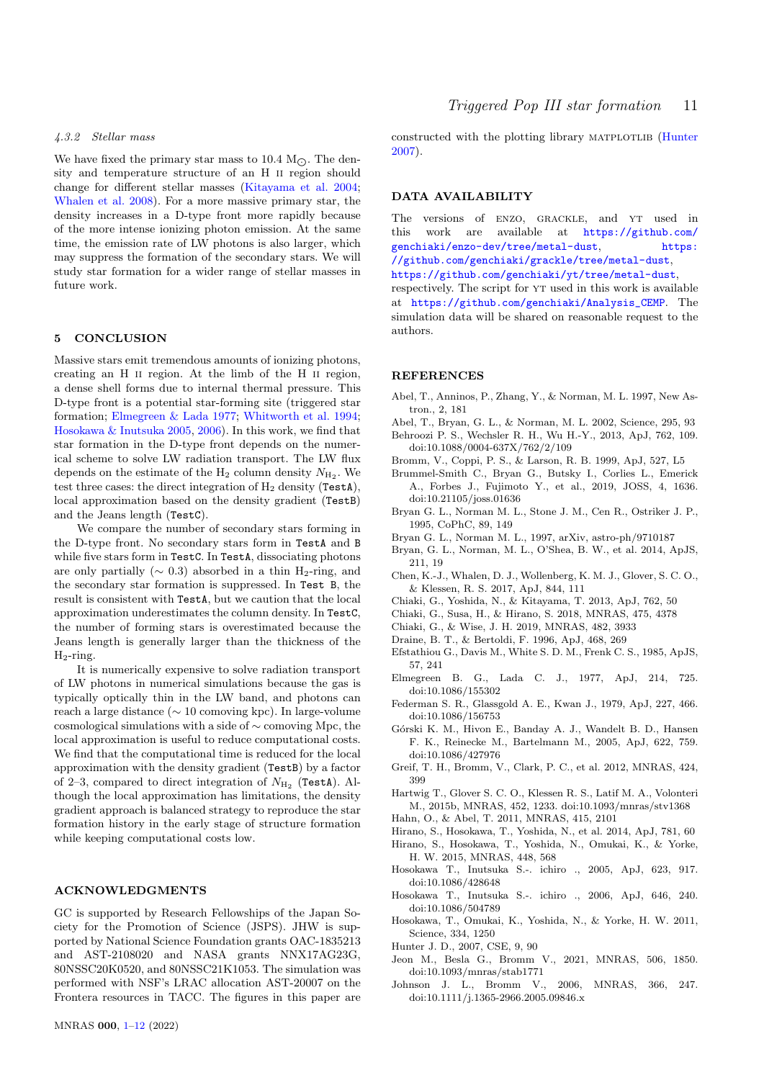## 4.3.2 Stellar mass

We have fixed the primary star mass to 10.4  $M_{\odot}$ . The density and temperature structure of an H ii region should change for different stellar masses [\(Kitayama et al.](#page-11-45) [2004;](#page-11-45) [Whalen et al.](#page-11-46) [2008\)](#page-11-46). For a more massive primary star, the density increases in a D-type front more rapidly because of the more intense ionizing photon emission. At the same time, the emission rate of LW photons is also larger, which may suppress the formation of the secondary stars. We will study star formation for a wider range of stellar masses in future work.

## <span id="page-10-0"></span>5 CONCLUSION

Massive stars emit tremendous amounts of ionizing photons, creating an H ii region. At the limb of the H ii region, a dense shell forms due to internal thermal pressure. This D-type front is a potential star-forming site (triggered star formation; [Elmegreen & Lada](#page-10-8) [1977;](#page-10-8) [Whitworth et al.](#page-11-16) [1994;](#page-11-16) [Hosokawa & Inutsuka](#page-10-9) [2005,](#page-10-9) [2006\)](#page-10-10). In this work, we find that star formation in the D-type front depends on the numerical scheme to solve LW radiation transport. The LW flux depends on the estimate of the  $H_2$  column density  $N_{H_2}$ . We test three cases: the direct integration of  $H_2$  density (TestA), local approximation based on the density gradient (TestB) and the Jeans length (TestC).

We compare the number of secondary stars forming in the D-type front. No secondary stars form in TestA and B while five stars form in TestC. In TestA, dissociating photons are only partially ( $\sim$  0.3) absorbed in a thin H<sub>2</sub>-ring, and the secondary star formation is suppressed. In Test B, the result is consistent with TestA, but we caution that the local approximation underestimates the column density. In TestC, the number of forming stars is overestimated because the Jeans length is generally larger than the thickness of the  $H_2$ -ring.

It is numerically expensive to solve radiation transport of LW photons in numerical simulations because the gas is typically optically thin in the LW band, and photons can reach a large distance (∼ 10 comoving kpc). In large-volume cosmological simulations with a side of ∼ comoving Mpc, the local approximation is useful to reduce computational costs. We find that the computational time is reduced for the local approximation with the density gradient (TestB) by a factor of 2–3, compared to direct integration of  $N_{\rm H_2}$  (TestA). Although the local approximation has limitations, the density gradient approach is balanced strategy to reproduce the star formation history in the early stage of structure formation while keeping computational costs low.

## ACKNOWLEDGMENTS

GC is supported by Research Fellowships of the Japan Society for the Promotion of Science (JSPS). JHW is supported by National Science Foundation grants OAC-1835213 and AST-2108020 and NASA grants NNX17AG23G, 80NSSC20K0520, and 80NSSC21K1053. The simulation was performed with NSF's LRAC allocation AST-20007 on the Frontera resources in TACC. The figures in this paper are constructed with the plotting library matplotlib [\(Hunter](#page-10-27) [2007\)](#page-10-27).

## DATA AVAILABILITY

The versions of ENZO, GRACKLE, and YT used in this work are available at [https://github.com/](https://github.com/genchiaki/enzo-dev/tree/metal-dust) [genchiaki/enzo-dev/tree/metal-dust](https://github.com/genchiaki/enzo-dev/tree/metal-dust), [https:](https://github.com/genchiaki/grackle/tree/metal-dust) [//github.com/genchiaki/grackle/tree/metal-dust](https://github.com/genchiaki/grackle/tree/metal-dust),

<https://github.com/genchiaki/yt/tree/metal-dust>,

respectively. The script for YT used in this work is available at [https://github.com/genchiaki/Analysis\\_CEMP](https://github.com/genchiaki/Analysis_CEMP). The simulation data will be shared on reasonable request to the authors.

#### **REFERENCES**

- <span id="page-10-23"></span>Abel, T., Anninos, P., Zhang, Y., & Norman, M. L. 1997, New Astron., 2, 181
- <span id="page-10-20"></span><span id="page-10-5"></span>Abel, T., Bryan, G. L., & Norman, M. L. 2002, Science, 295, 93 Behroozi P. S., Wechsler R. H., Wu H.-Y., 2013, ApJ, 762, 109. doi:10.1088/0004-637X/762/2/109
- <span id="page-10-4"></span>Bromm, V., Coppi, P. S., & Larson, R. B. 1999, ApJ, 527, L5
- <span id="page-10-15"></span>Brummel-Smith C., Bryan G., Butsky I., Corlies L., Emerick A., Forbes J., Fujimoto Y., et al., 2019, JOSS, 4, 1636. doi:10.21105/joss.01636
- <span id="page-10-16"></span>Bryan G. L., Norman M. L., Stone J. M., Cen R., Ostriker J. P., 1995, CoPhC, 89, 149
- <span id="page-10-18"></span>Bryan G. L., Norman M. L., 1997, arXiv, astro-ph/9710187
- <span id="page-10-14"></span>Bryan, G. L., Norman, M. L., O'Shea, B. W., et al. 2014, ApJS, 211, 19
- <span id="page-10-26"></span>Chen, K.-J., Whalen, D. J., Wollenberg, K. M. J., Glover, S. C. O., & Klessen, R. S. 2017, ApJ, 844, 111
- <span id="page-10-3"></span>Chiaki, G., Yoshida, N., & Kitayama, T. 2013, ApJ, 762, 50
- <span id="page-10-25"></span>Chiaki, G., Susa, H., & Hirano, S. 2018, MNRAS, 475, 4378
- <span id="page-10-21"></span>Chiaki, G., & Wise, J. H. 2019, MNRAS, 482, 3933
- <span id="page-10-12"></span>Draine, B. T., & Bertoldi, F. 1996, ApJ, 468, 269
- <span id="page-10-17"></span>Efstathiou G., Davis M., White S. D. M., Frenk C. S., 1985, ApJS, 57, 241
- <span id="page-10-8"></span>Elmegreen B. G., Lada C. J., 1977, ApJ, 214, 725. doi:10.1086/155302
- <span id="page-10-11"></span>Federman S. R., Glassgold A. E., Kwan J., 1979, ApJ, 227, 466. doi:10.1086/156753
- <span id="page-10-22"></span>G´orski K. M., Hivon E., Banday A. J., Wandelt B. D., Hansen F. K., Reinecke M., Bartelmann M., 2005, ApJ, 622, 759. doi:10.1086/427976
- <span id="page-10-7"></span>Greif, T. H., Bromm, V., Clark, P. C., et al. 2012, MNRAS, 424, 399
- <span id="page-10-13"></span>Hartwig T., Glover S. C. O., Klessen R. S., Latif M. A., Volonteri M., 2015b, MNRAS, 452, 1233. doi:10.1093/mnras/stv1368
- <span id="page-10-19"></span>Hahn, O., & Abel, T. 2011, MNRAS, 415, 2101
- <span id="page-10-6"></span>Hirano, S., Hosokawa, T., Yoshida, N., et al. 2014, ApJ, 781, 60
- <span id="page-10-2"></span>Hirano, S., Hosokawa, T., Yoshida, N., Omukai, K., & Yorke, H. W. 2015, MNRAS, 448, 568
- <span id="page-10-9"></span>Hosokawa T., Inutsuka S.-. ichiro ., 2005, ApJ, 623, 917. doi:10.1086/428648
- <span id="page-10-10"></span>Hosokawa T., Inutsuka S.-. ichiro ., 2006, ApJ, 646, 240. doi:10.1086/504789
- Hosokawa, T., Omukai, K., Yoshida, N., & Yorke, H. W. 2011, Science, 334, 1250
- <span id="page-10-27"></span>Hunter J. D., 2007, CSE, 9, 90
- <span id="page-10-24"></span>Jeon M., Besla G., Bromm V., 2021, MNRAS, 506, 1850. doi:10.1093/mnras/stab1771
- <span id="page-10-1"></span>Johnson J. L., Bromm V., 2006, MNRAS, 366, 247. doi:10.1111/j.1365-2966.2005.09846.x